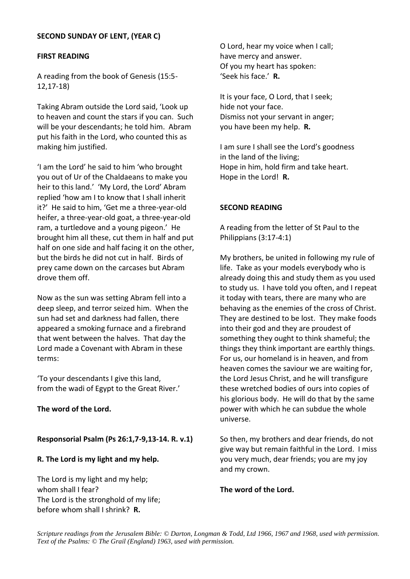## **SECOND SUNDAY OF LENT, (YEAR C)**

### **FIRST READING**

A reading from the book of Genesis (15:5- 12,17-18)

Taking Abram outside the Lord said, 'Look up to heaven and count the stars if you can. Such will be your descendants; he told him. Abram put his faith in the Lord, who counted this as making him justified.

'I am the Lord' he said to him 'who brought you out of Ur of the Chaldaeans to make you heir to this land.' 'My Lord, the Lord' Abram replied 'how am I to know that I shall inherit it?' He said to him, 'Get me a three-year-old heifer, a three-year-old goat, a three-year-old ram, a turtledove and a young pigeon.' He brought him all these, cut them in half and put half on one side and half facing it on the other, but the birds he did not cut in half. Birds of prey came down on the carcases but Abram drove them off.

Now as the sun was setting Abram fell into a deep sleep, and terror seized him. When the sun had set and darkness had fallen, there appeared a smoking furnace and a firebrand that went between the halves. That day the Lord made a Covenant with Abram in these terms:

'To your descendants I give this land, from the wadi of Egypt to the Great River.'

## **The word of the Lord.**

## **Responsorial Psalm (Ps 26:1,7-9,13-14. R. v.1)**

## **R. The Lord is my light and my help.**

The Lord is my light and my help; whom shall I fear? The Lord is the stronghold of my life; before whom shall I shrink? **R.**

O Lord, hear my voice when I call; have mercy and answer. Of you my heart has spoken: 'Seek his face.' **R.**

It is your face, O Lord, that I seek; hide not your face. Dismiss not your servant in anger; you have been my help. **R.**

I am sure I shall see the Lord's goodness in the land of the living; Hope in him, hold firm and take heart. Hope in the Lord! **R.**

## **SECOND READING**

A reading from the letter of St Paul to the Philippians (3:17-4:1)

My brothers, be united in following my rule of life. Take as your models everybody who is already doing this and study them as you used to study us. I have told you often, and I repeat it today with tears, there are many who are behaving as the enemies of the cross of Christ. They are destined to be lost. They make foods into their god and they are proudest of something they ought to think shameful; the things they think important are earthly things. For us, our homeland is in heaven, and from heaven comes the saviour we are waiting for, the Lord Jesus Christ, and he will transfigure these wretched bodies of ours into copies of his glorious body. He will do that by the same power with which he can subdue the whole universe.

So then, my brothers and dear friends, do not give way but remain faithful in the Lord. I miss you very much, dear friends; you are my joy and my crown.

#### **The word of the Lord.**

*Scripture readings from the Jerusalem Bible: © Darton, Longman & Todd, Ltd 1966, 1967 and 1968, used with permission. Text of the Psalms: © The Grail (England) 1963, used with permission.*